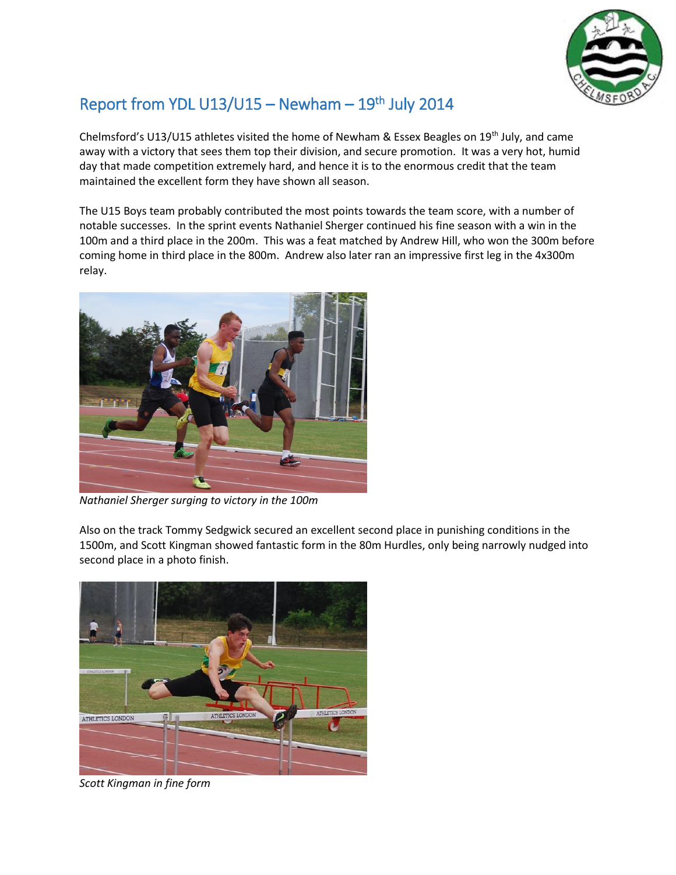

## Report from YDL  $U13/U15 -$  Newham  $-19<sup>th</sup>$  July 2014

Chelmsford's U13/U15 athletes visited the home of Newham & Essex Beagles on 19<sup>th</sup> July, and came away with a victory that sees them top their division, and secure promotion. It was a very hot, humid day that made competition extremely hard, and hence it is to the enormous credit that the team maintained the excellent form they have shown all season.

The U15 Boys team probably contributed the most points towards the team score, with a number of notable successes. In the sprint events Nathaniel Sherger continued his fine season with a win in the 100m and a third place in the 200m. This was a feat matched by Andrew Hill, who won the 300m before coming home in third place in the 800m. Andrew also later ran an impressive first leg in the 4x300m relay.



*Nathaniel Sherger surging to victory in the 100m*

Also on the track Tommy Sedgwick secured an excellent second place in punishing conditions in the 1500m, and Scott Kingman showed fantastic form in the 80m Hurdles, only being narrowly nudged into second place in a photo finish.



*Scott Kingman in fine form*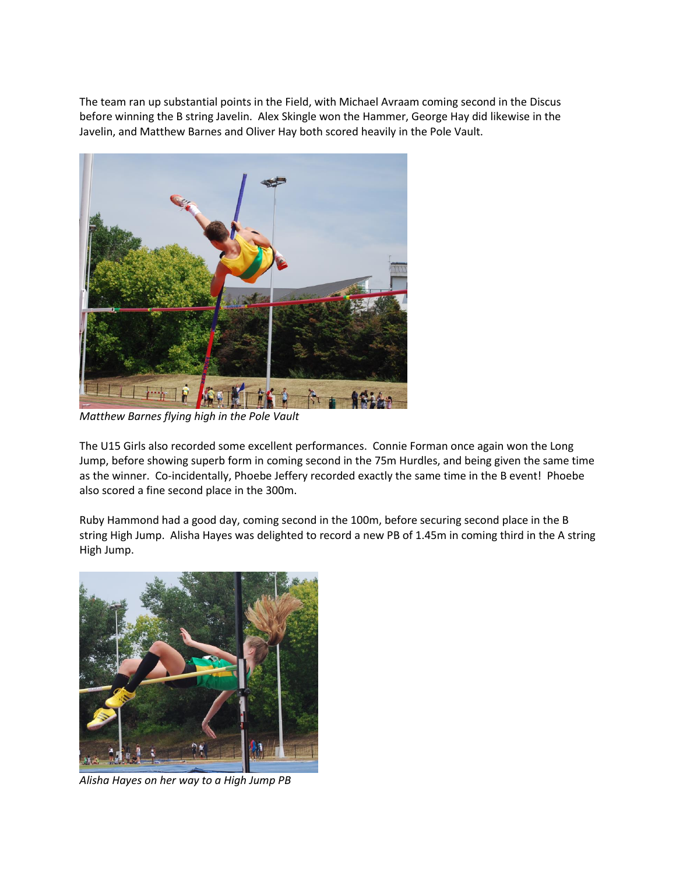The team ran up substantial points in the Field, with Michael Avraam coming second in the Discus before winning the B string Javelin. Alex Skingle won the Hammer, George Hay did likewise in the Javelin, and Matthew Barnes and Oliver Hay both scored heavily in the Pole Vault.



*Matthew Barnes flying high in the Pole Vault*

The U15 Girls also recorded some excellent performances. Connie Forman once again won the Long Jump, before showing superb form in coming second in the 75m Hurdles, and being given the same time as the winner. Co-incidentally, Phoebe Jeffery recorded exactly the same time in the B event! Phoebe also scored a fine second place in the 300m.

Ruby Hammond had a good day, coming second in the 100m, before securing second place in the B string High Jump. Alisha Hayes was delighted to record a new PB of 1.45m in coming third in the A string High Jump.



*Alisha Hayes on her way to a High Jump PB*